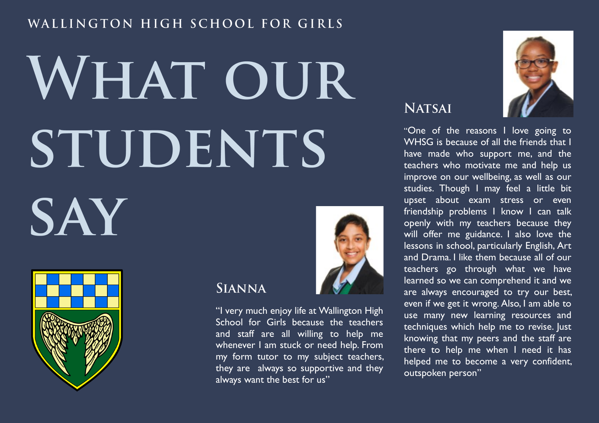### WALLINGTON HIGH SCHOOL FOR GIRLS

# WHAT OUR STUDENTS SAY



#### **SIANNA**

"I very much enjoy life at Wallington High School for Girls because the teachers and staff are all willing to help me whenever I am stuck or need help. From my form tutor to my subject teachers, they are always so supportive and they always want the best for us"



"One of the reasons I love going to WHSG is because of all the friends that I have made who support me, and the teachers who motivate me and help us improve on our wellbeing, as well as our studies. Though I may feel a little bit upset about exam stress or even friendship problems I know I can talk openly with my teachers because they will offer me guidance. I also love the lessons in school, particularly English, Art and Drama. I like them because all of our teachers go through what we have learned so we can comprehend it and we are always encouraged to try our best, even if we get it wrong. Also, I am able to use many new learning resources and techniques which help me to revise. Just knowing that my peers and the staff are there to help me when I need it has helped me to become a very confident, outspoken person"